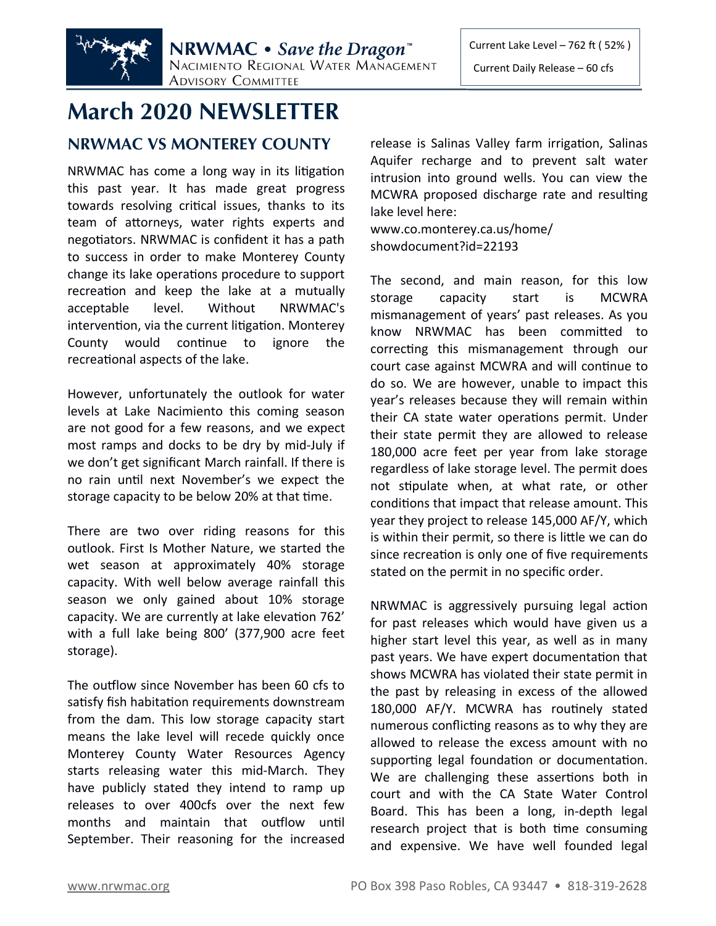

# **March 2020 NEWSLETTER**

## **NRWMAC VS MONTEREY COUNTY**

NRWMAC has come a long way in its litigation this past year. It has made great progress towards resolving critical issues, thanks to its team of attorneys, water rights experts and negotiators. NRWMAC is confident it has a path to success in order to make Monterey County change its lake operations procedure to support recreation and keep the lake at a mutually acceptable level. Without NRWMAC's intervention, via the current litigation. Monterey County would continue to ignore the recreational aspects of the lake.

However, unfortunately the outlook for water levels at Lake Nacimiento this coming season are not good for a few reasons, and we expect most ramps and docks to be dry by mid-July if we don't get significant March rainfall. If there is no rain until next November's we expect the storage capacity to be below 20% at that time.

There are two over riding reasons for this outlook. First Is Mother Nature, we started the wet season at approximately 40% storage capacity. With well below average rainfall this season we only gained about 10% storage capacity. We are currently at lake elevation 762' with a full lake being 800' (377,900 acre feet storage).

The outflow since November has been 60 cfs to satisfy fish habitation requirements downstream from the dam. This low storage capacity start means the lake level will recede quickly once Monterey County Water Resources Agency starts releasing water this mid-March. They have publicly stated they intend to ramp up releases to over 400cfs over the next few months and maintain that outflow until September. Their reasoning for the increased

release is Salinas Valley farm irrigation, Salinas Aquifer recharge and to prevent salt water intrusion into ground wells. You can view the MCWRA proposed discharge rate and resulting lake level here:

www.co.monterey.ca.us/home/ showdocument?id=22193

The second, and main reason, for this low storage capacity start is MCWRA mismanagement of years' past releases. As you know NRWMAC has been committed to correcting this mismanagement through our court case against MCWRA and will continue to do so. We are however, unable to impact this year's releases because they will remain within their CA state water operations permit. Under their state permit they are allowed to release 180,000 acre feet per year from lake storage regardless of lake storage level. The permit does not stipulate when, at what rate, or other conditions that impact that release amount. This year they project to release 145,000 AF/Y, which is within their permit, so there is little we can do since recreation is only one of five requirements stated on the permit in no specific order.

NRWMAC is aggressively pursuing legal action for past releases which would have given us a higher start level this year, as well as in many past years. We have expert documentation that shows MCWRA has violated their state permit in the past by releasing in excess of the allowed 180,000 AF/Y. MCWRA has routinely stated numerous conflicting reasons as to why they are allowed to release the excess amount with no supporting legal foundation or documentation. We are challenging these assertions both in court and with the CA State Water Control Board. This has been a long, in-depth legal research project that is both time consuming and expensive. We have well founded legal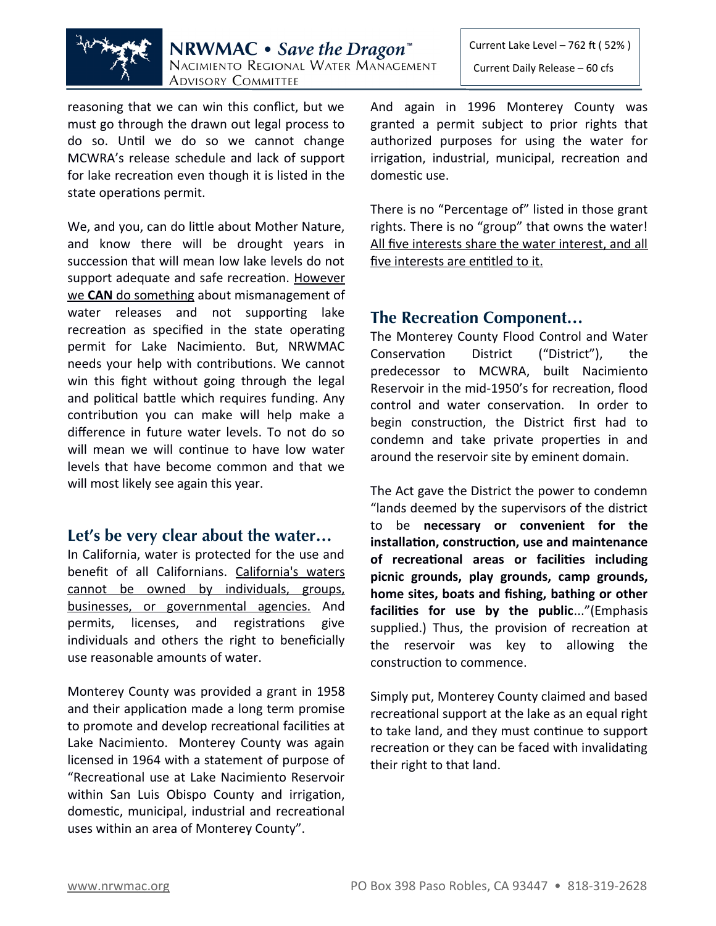

reasoning that we can win this conflict, but we must go through the drawn out legal process to do so. Until we do so we cannot change MCWRA's release schedule and lack of support for lake recreation even though it is listed in the state operations permit.

We, and you, can do little about Mother Nature, and know there will be drought years in succession that will mean low lake levels do not support adequate and safe recreation. However we **CAN** do something about mismanagement of water releases and not supporting lake recreation as specified in the state operating permit for Lake Nacimiento. But, NRWMAC needs your help with contributions. We cannot win this fight without going through the legal and political battle which requires funding. Any contribution you can make will help make a difference in future water levels. To not do so will mean we will continue to have low water levels that have become common and that we will most likely see again this year.

#### **Let's be very clear about the water…**

In California, water is protected for the use and benefit of all Californians. California's waters cannot be owned by individuals, groups, businesses, or governmental agencies. And permits, licenses, and registrations give individuals and others the right to beneficially use reasonable amounts of water.

Monterey County was provided a grant in 1958 and their application made a long term promise to promote and develop recreational facilities at Lake Nacimiento. Monterey County was again licensed in 1964 with a statement of purpose of "Recreational use at Lake Nacimiento Reservoir within San Luis Obispo County and irrigation, domestic, municipal, industrial and recreational uses within an area of Monterey County".

Current Lake Level – 762 ft ( 52% ) Current Daily Release – 60 cfs

And again in 1996 Monterey County was granted a permit subject to prior rights that authorized purposes for using the water for irrigation, industrial, municipal, recreation and domestic use.

There is no "Percentage of" listed in those grant rights. There is no "group" that owns the water! All five interests share the water interest, and all five interests are entitled to it.

#### **The Recreation Component…**

The Monterey County Flood Control and Water Conservation District ("District"), the predecessor to MCWRA, built Nacimiento Reservoir in the mid-1950's for recreation, flood control and water conservation. In order to begin construction, the District first had to condemn and take private properties in and around the reservoir site by eminent domain.

The Act gave the District the power to condemn "lands deemed by the supervisors of the district to be **necessary or convenient for the installation, construction, use and maintenance of recreational areas or facilities including picnic grounds, play grounds, camp grounds, home sites, boats and fishing, bathing or other facilities for use by the public**..."(Emphasis supplied.) Thus, the provision of recreation at the reservoir was key to allowing the construction to commence.

Simply put, Monterey County claimed and based recreational support at the lake as an equal right to take land, and they must continue to support recreation or they can be faced with invalidating their right to that land.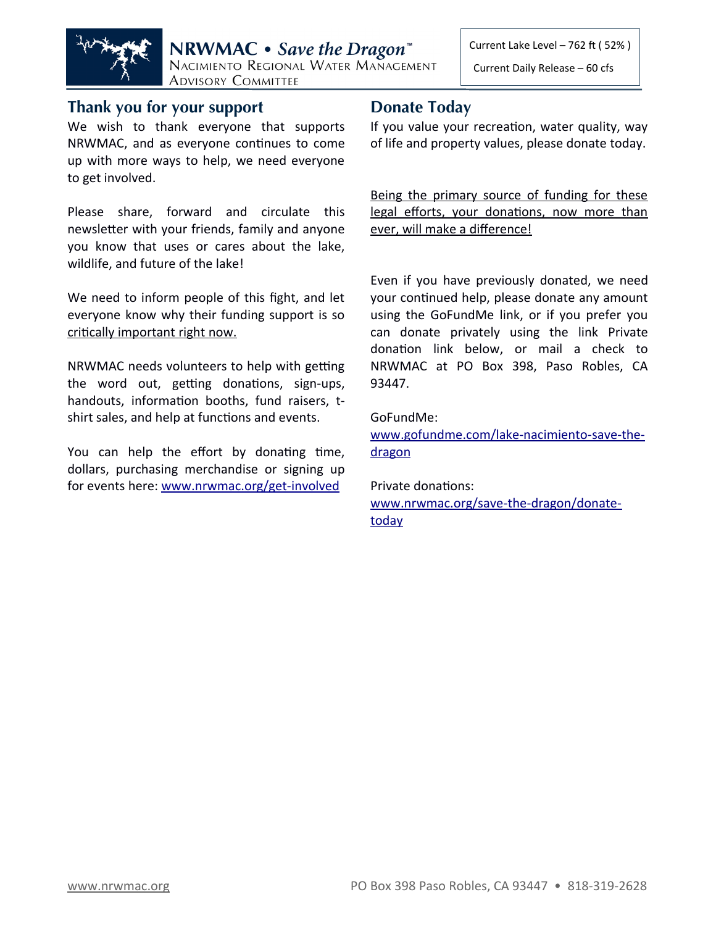

### **Thank you for your support**

We wish to thank everyone that supports NRWMAC, and as everyone continues to come up with more ways to help, we need everyone to get involved.

Please share, forward and circulate this newsletter with your friends, family and anyone you know that uses or cares about the lake, wildlife, and future of the lake!

We need to inform people of this fight, and let everyone know why their funding support is so critically important right now.

NRWMAC needs volunteers to help with getting the word out, getting donations, sign-ups, handouts, information booths, fund raisers, tshirt sales, and help at functions and events.

You can help the effort by donating time, dollars, purchasing merchandise or signing up for events here: [www.nrwmac.org/get-involved](http://www.nrwmac.org/get-involved)

## **Donate Today**

If you value your recreation, water quality, way of life and property values, please donate today.

Being the primary source of funding for these legal efforts, your donations, now more than ever, will make a difference!

Even if you have previously donated, we need your continued help, please donate any amount using the GoFundMe link, or if you prefer you can donate privately using the link Private donation link below, or mail a check to NRWMAC at PO Box 398, Paso Robles, CA 93447.

GoFundMe:

[www.gofundme.com/lake-nacimiento-save-the](http://www.gofundme.com/lake-nacimiento-save-the-dragon) dragon

Private donations: [www.nrwmac.org/save-the-dragon/donate](http://www.nrwmac.org/save-the-dragon/donate-today) today

Current Daily Release – 60 cfs